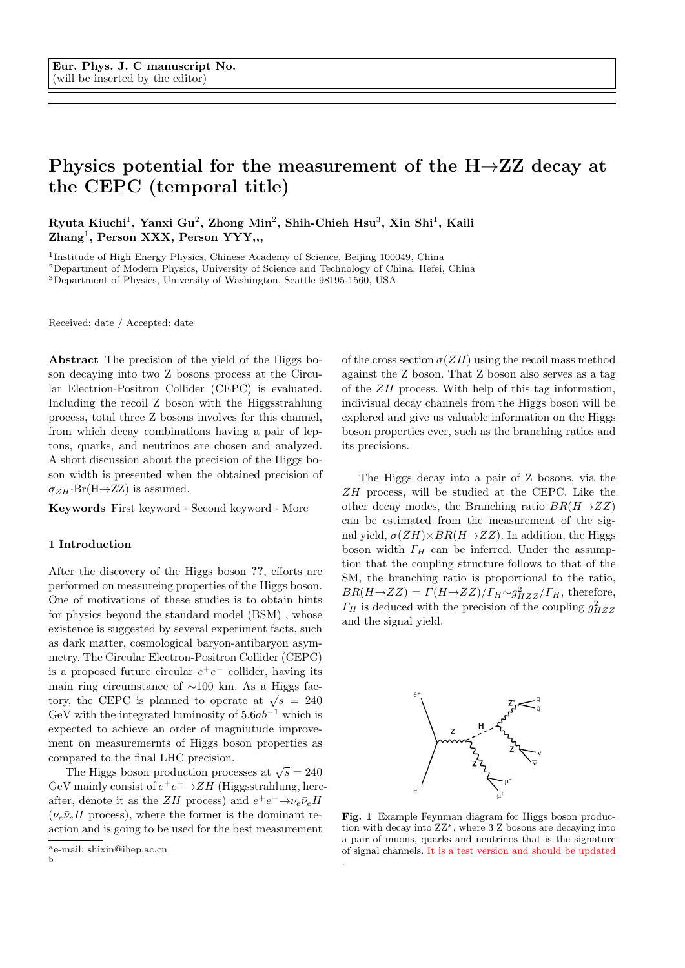# Physics potential for the measurement of the  $H\rightarrow ZZ$  decay at the CEPC (temporal title)

Ryuta Kiuchi<sup>1</sup>, Yanxi Gu<sup>2</sup>, Zhong Min<sup>2</sup>, Shih-Chieh Hsu<sup>3</sup>, Xin Shi<sup>1</sup>, Kaili Zhang<sup>1</sup>, Person XXX, Person YYY,,,

<sup>1</sup>Institude of High Energy Physics, Chinese Academy of Science, Beijing 100049, China

<sup>2</sup>Department of Modern Physics, University of Science and Technology of China, Hefei, China

<sup>3</sup>Department of Physics, University of Washington, Seattle 98195-1560, USA

Received: date / Accepted: date

Abstract The precision of the yield of the Higgs boson decaying into two Z bosons process at the Circular Electrion-Positron Collider (CEPC) is evaluated. Including the recoil Z boson with the Higgsstrahlung process, total three Z bosons involves for this channel, from which decay combinations having a pair of leptons, quarks, and neutrinos are chosen and analyzed. A short discussion about the precision of the Higgs boson width is presented when the obtained precision of  $\sigma_{ZH}$ ·Br(H $\rightarrow$ ZZ) is assumed.

Keywords First keyword · Second keyword · More

### 1 Introduction

After the discovery of the Higgs boson ??, efforts are performed on measureing properties of the Higgs boson. One of motivations of these studies is to obtain hints for physics beyond the standard model (BSM) , whose existence is suggested by several experiment facts, such as dark matter, cosmological baryon-antibaryon asymmetry. The Circular Electron-Positron Collider (CEPC) is a proposed future circular  $e^+e^-$  collider, having its main ring circumstance of  $\sim$ 100 km. As a Higgs factory, the CEPC is planned to operate at  $\sqrt{s}$  = 240 GeV with the integrated luminosity of  $5.6ab^{-1}$  which is expected to achieve an order of magniutude improvement on measuremernts of Higgs boson properties as compared to the final LHC precision.

The Higgs boson production processes at  $\sqrt{s} = 240$ GeV mainly consist of  $e^+e^- \rightarrow ZH$  (Higgsstrahlung, hereafter, denote it as the  $ZH$  process) and  $e^+e^- \rightarrow \nu_e \bar{\nu}_e H$  $(\nu_e\bar{\nu}_eH)$  process), where the former is the dominant reaction and is going to be used for the best measurement

of the cross section  $\sigma(ZH)$  using the recoil mass method against the Z boson. That Z boson also serves as a tag of the ZH process. With help of this tag information, indivisual decay channels from the Higgs boson will be explored and give us valuable information on the Higgs boson properties ever, such as the branching ratios and its precisions.

The Higgs decay into a pair of Z bosons, via the ZH process, will be studied at the CEPC. Like the other decay modes, the Branching ratio  $BR(H\rightarrow ZZ)$ can be estimated from the measurement of the signal yield,  $\sigma(ZH)\times BR(H\rightarrow ZZ)$ . In addition, the Higgs boson width  $\Gamma_H$  can be inferred. Under the assumption that the coupling structure follows to that of the SM, the branching ratio is proportional to the ratio,  $BR(H\rightarrow ZZ) = \Gamma(H\rightarrow ZZ)/\Gamma_H \sim g_{HZZ}^2/\Gamma_H$ , therefore,  $\Gamma_H$  is deduced with the precision of the coupling  $g_{HZZ}^2$ and the signal yield.



Fig. 1 Example Feynman diagram for Higgs boson production with decay into ZZ<sup>∗</sup>, where 3 Z bosons are decaying into a pair of muons, quarks and neutrinos that is the signature of signal channels. It is a test version and should be updated .

<sup>a</sup>e-mail: shixin@ihep.ac.cn b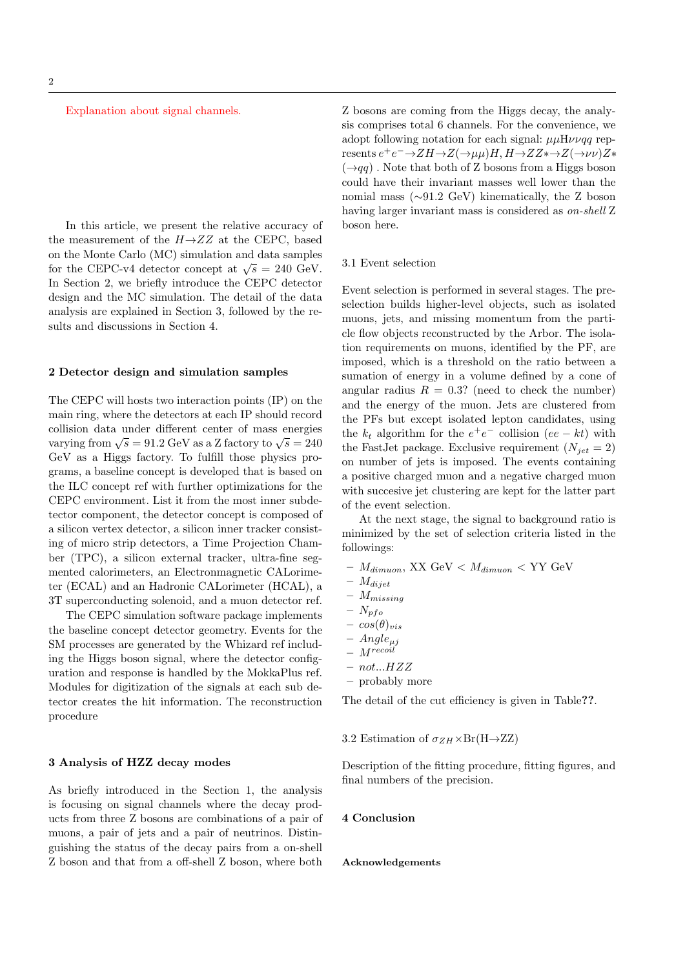Explanation about signal channels.

In this article, we present the relative accuracy of the measurement of the  $H\rightarrow ZZ$  at the CEPC, based on the Monte Carlo (MC) simulation and data samples for the CEPC-v4 detector concept at  $\sqrt{s} = 240$  GeV. In Section 2, we briefly introduce the CEPC detector design and the MC simulation. The detail of the data analysis are explained in Section 3, followed by the results and discussions in Section 4.

#### 2 Detector design and simulation samples

The CEPC will hosts two interaction points (IP) on the main ring, where the detectors at each IP should record collision data under different center of mass energies varying from  $\sqrt{s} = 91.2$  GeV as a Z factory to  $\sqrt{s} = 240$ GeV as a Higgs factory. To fulfill those physics programs, a baseline concept is developed that is based on the ILC concept ref with further optimizations for the CEPC environment. List it from the most inner subdetector component, the detector concept is composed of a silicon vertex detector, a silicon inner tracker consisting of micro strip detectors, a Time Projection Chamber (TPC), a silicon external tracker, ultra-fine segmented calorimeters, an Electronmagnetic CALorimeter (ECAL) and an Hadronic CALorimeter (HCAL), a 3T superconducting solenoid, and a muon detector ref.

The CEPC simulation software package implements the baseline concept detector geometry. Events for the SM processes are generated by the Whizard ref including the Higgs boson signal, where the detector configuration and response is handled by the MokkaPlus ref. Modules for digitization of the signals at each sub detector creates the hit information. The reconstruction procedure

## 3 Analysis of HZZ decay modes

As briefly introduced in the Section 1, the analysis is focusing on signal channels where the decay products from three Z bosons are combinations of a pair of muons, a pair of jets and a pair of neutrinos. Distinguishing the status of the decay pairs from a on-shell Z boson and that from a off-shell Z boson, where both

Z bosons are coming from the Higgs decay, the analysis comprises total 6 channels. For the convenience, we adopt following notation for each signal:  $\mu\mu H\nu\nu q\bar{q}$  represents  $e^+e^- \rightarrow ZH \rightarrow Z(\rightarrow \mu\mu)H, H \rightarrow ZZ \rightarrow Z(\rightarrow \nu\nu)Z \ast$  $(\rightarrow qq)$ . Note that both of Z bosons from a Higgs boson could have their invariant masses well lower than the nomial mass (∼91.2 GeV) kinematically, the Z boson having larger invariant mass is considered as on-shell Z boson here.

#### 3.1 Event selection

Event selection is performed in several stages. The preselection builds higher-level objects, such as isolated muons, jets, and missing momentum from the particle flow objects reconstructed by the Arbor. The isolation requirements on muons, identified by the PF, are imposed, which is a threshold on the ratio between a sumation of energy in a volume defined by a cone of angular radius  $R = 0.3$ ? (need to check the number) and the energy of the muon. Jets are clustered from the PFs but except isolated lepton candidates, using the  $k_t$  algorithm for the  $e^+e^-$  collision  $(ee - kt)$  with the FastJet package. Exclusive requirement  $(N_{jet} = 2)$ on number of jets is imposed. The events containing a positive charged muon and a negative charged muon with succesive jet clustering are kept for the latter part of the event selection.

At the next stage, the signal to background ratio is minimized by the set of selection criteria listed in the followings:

- $M_{dimuon}$ , XX GeV  $<$   $M_{dimuon}$   $<$  YY GeV
- $M_{dijet}$
- $M_{missing}$
- $N_{pfo}$
- $-\cos(\theta)_{vis}$
- $Angle_{\mu j}$
- $M^{recoil}$
- $not...HZZ$
- probably more

The detail of the cut efficiency is given in Table??.

# 3.2 Estimation of  $\sigma_{ZH}\times\text{Br(H}\rightarrow\text{ZZ})$

Description of the fitting procedure, fitting figures, and final numbers of the precision.

#### 4 Conclusion

# Acknowledgements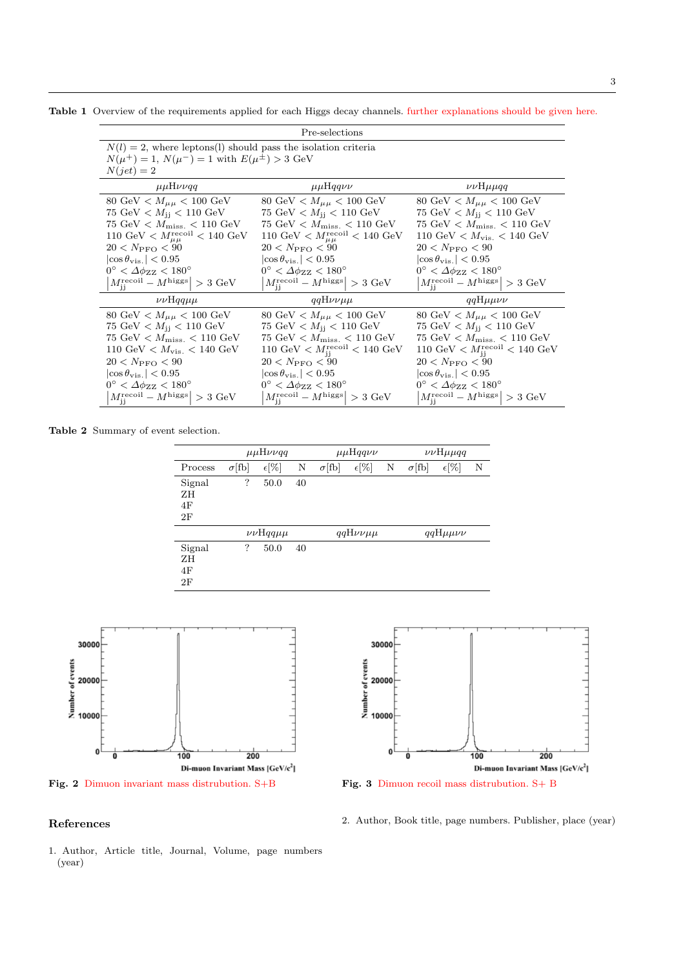Table 1 Overview of the requirements applied for each Higgs decay channels. further explanations should be given here.

| Pre-selections                                                                                                                                                                                                                                                                                                                                                      |                                                                                                                                                                                                                                                                                                                                                                                        |                                                                                                                                                                                                                                                                                                                                               |  |  |  |  |  |
|---------------------------------------------------------------------------------------------------------------------------------------------------------------------------------------------------------------------------------------------------------------------------------------------------------------------------------------------------------------------|----------------------------------------------------------------------------------------------------------------------------------------------------------------------------------------------------------------------------------------------------------------------------------------------------------------------------------------------------------------------------------------|-----------------------------------------------------------------------------------------------------------------------------------------------------------------------------------------------------------------------------------------------------------------------------------------------------------------------------------------------|--|--|--|--|--|
| $N(l) = 2$ , where leptons(l) should pass the isolation criteria<br>$N(\mu^{+}) = 1, N(\mu^{-}) = 1$ with $E(\mu^{\pm}) > 3$ GeV<br>$N(jet)=2$                                                                                                                                                                                                                      |                                                                                                                                                                                                                                                                                                                                                                                        |                                                                                                                                                                                                                                                                                                                                               |  |  |  |  |  |
| $\mu\mu H\nu\nu q\overline{q}$                                                                                                                                                                                                                                                                                                                                      | $\mu\mu$ Hqqvv                                                                                                                                                                                                                                                                                                                                                                         | $\nu\nu$ H $\mu\mu$ qq                                                                                                                                                                                                                                                                                                                        |  |  |  |  |  |
| 80 GeV $< M_{\mu\mu} < 100$ GeV<br>75 GeV $< M_{\rm ii} < 110 \text{ GeV}$<br>75 GeV $< M_{\text{miss}} < 110 \text{ GeV}$<br>110 GeV $<$ $M_{\mu\mu}^{\text{recoil}}$ $<$ 140 GeV<br>$20 < N_{\rm PFO} < 90$<br>$ \cos \theta_{\rm vis.}  < 0.95$<br>$0^{\circ} < \Delta \phi_{ZZ} < 180^{\circ}$<br>$ M_{ii}^{\text{recoil}} - M^{\text{higgs}}  > 3 \text{ GeV}$ | 80 GeV $< M_{\mu\mu} < 100$ GeV<br>75 GeV $< M_{\rm ii} < 110$ GeV<br>$75 \text{ GeV} < M_{\text{miss}} < 110 \text{ GeV}$<br>110 GeV < $M_{\mu\mu}^{\text{recoil}}$ < 140 GeV<br>$20 < N_{\rm PFO} < 90$<br>$ \cos \theta_{\rm vis.}  < 0.95$<br>$0^{\circ} < \Delta \phi_{ZZ} < 180^{\circ}$<br>$M_{ii}^{\text{recoil}} - M^{\text{higgs}}$ > 3 GeV                                  | 80 GeV $< M_{\mu\mu} < 100$ GeV<br>75 GeV $< M_{\rm ij} < 110 \text{ GeV}$<br>75 GeV $< M_{\rm miss.} < 110$ GeV<br>110 GeV $< M_{\rm vis.} < 140 \text{ GeV}$<br>$20 < N_{\rm PFO} < 90$<br>$ \cos \theta_{\rm vis.}  < 0.95$<br>$0^{\circ} < \Delta \phi_{ZZ} < 180^{\circ}$<br>$M_{ii}^{\text{recoil}} - M^{\text{higgs}} > 3 \text{ GeV}$ |  |  |  |  |  |
| $\nu\nu$ Hqq $\mu\mu$                                                                                                                                                                                                                                                                                                                                               | $qqH\nu\nu\mu\mu$                                                                                                                                                                                                                                                                                                                                                                      | $qqH\mu\mu\nu\nu$                                                                                                                                                                                                                                                                                                                             |  |  |  |  |  |
| 80 GeV $< M_{\mu\mu} < 100$ GeV<br>75 GeV $< M_{\rm ii} < 110$ GeV<br>75 GeV $<$ $M_{\rm miss.}$ $<$ 110 GeV<br>110 GeV $< M_{\rm vis.} < 140 \text{ GeV}$<br>$20 < N_{\text{PFO}} < 90$<br>$ \cos \theta_{\rm vis.}  < 0.95$<br>$0^{\circ} < \varDelta \phi_{\rm ZZ} < 180^{\circ}$<br>$M_{ii}^{\text{recoil}} - M^{\text{higgs}}$ > 3 GeV                         | 80 GeV $< M_{\mu\mu} < 100 \text{ GeV}$<br>75 GeV $< M_{\rm ij} < 110 \text{ GeV}$<br>75 GeV $<$ $M_{\rm miss.}$ $<$ 110 GeV<br>110 GeV $< M_{\rm ii}^{\rm recoil} < 140 \rm \; GeV$<br>$20 < N_{\rm PFO} < 90$<br>$ \cos \theta_{\rm vis.}  < 0.95$<br>$0^{\circ} < \Delta \phi_{ZZ} < 180^{\circ}$<br>$M_{\cdot\cdot}^{\text{recoil}} - M_{\cdot}^{\text{higgs}} \geq 3 \text{ GeV}$ | 80 GeV $< M_{\mu\mu} < 100$ GeV<br>75 GeV $< M_{\rm ii} < 110$ GeV<br>75 GeV $<$ $M_{\rm miss.}$ $<$ 110 GeV<br>110 GeV $< M_{\rm ii}^{\rm recoil} < 140$ GeV<br>$20 < N_{\rm PFO} < 90$<br>$ \cos \theta_{\rm vis.}  < 0.95$<br>$0^{\circ} < \varDelta \phi_{\rm ZZ} < 180^{\circ}$<br>$M_{\rm ii}^{\rm recoil} - M^{\rm higgs}$ > 3 GeV     |  |  |  |  |  |

Table 2 Summary of event selection.

|                          |               | $\mu\mu H\nu\nu q\overline{q}$ |    |               | $\mu\mu$ Hqqvv    |   |               | $\nu\nu$ H $\mu$ µqq |   |
|--------------------------|---------------|--------------------------------|----|---------------|-------------------|---|---------------|----------------------|---|
| Process                  | $\sigma$ [fb] | $\epsilon$ [%]                 | Ν  | $\sigma$ [fb] | $\epsilon$ [%]    | N | $\sigma$ [fb] | $\epsilon$ [%]       | N |
| Signal<br>ΖH<br>4F<br>2F | ?             | 50.0                           | 40 |               |                   |   |               |                      |   |
|                          |               | $\nu\nu$ Hqq $\mu\mu$          |    |               | $qqH\nu\nu\mu\mu$ |   |               | $qqH\mu\mu\nu\nu$    |   |
| Signal<br>ΖH<br>4F<br>2F | ?             | 50.0                           | 40 |               |                   |   |               |                      |   |







Fig. 3 Dimuon recoil mass distrubution. S+ B

# References

1. Author, Article title, Journal, Volume, page numbers (year)

2. Author, Book title, page numbers. Publisher, place (year)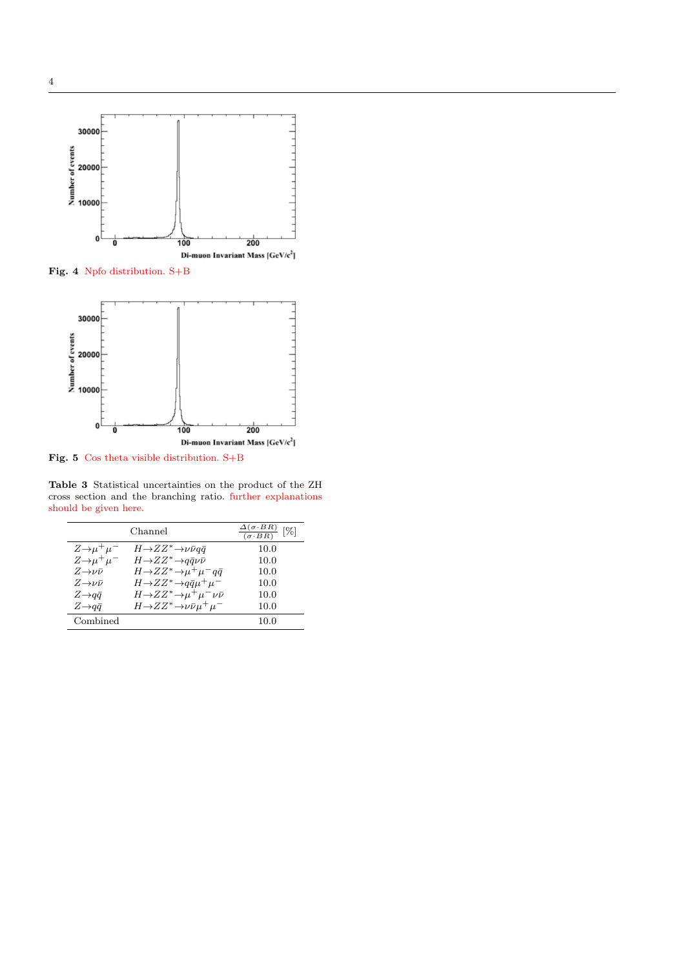

Fig. 4 Npfo distribution. S+B



Fig. 5 Cos theta visible distribution. S+B

Table 3 Statistical uncertainties on the product of the ZH cross section and the branching ratio. further explanations should be given here.

|                             | $\frac{\Delta(\sigma \cdot BR)}{(\sigma \cdot BR)}$<br>$[\%]$ |      |
|-----------------------------|---------------------------------------------------------------|------|
| $Z\rightarrow \mu^+\mu^-$   | $H\rightarrow ZZ^*\rightarrow \nu\bar{\nu}q\bar{q}$           | 10.0 |
| $Z\rightarrow \mu^+\mu^-$   | $H\rightarrow ZZ^*\rightarrow q\bar{q}\nu\bar{\nu}$           | 10.0 |
| $Z\rightarrow \nu\bar{\nu}$ | $H\rightarrow ZZ^*\rightarrow \mu^+\mu^- q\bar{q}$            | 10.0 |
| $Z\rightarrow \nu\bar{\nu}$ | $H\rightarrow ZZ^* \rightarrow q\bar{q}\mu^+\mu^-$            | 10.0 |
| $Z \rightarrow q\bar{q}$    | $H\rightarrow ZZ^*\rightarrow \mu^+\mu^-\nu\bar{\nu}$         | 10.0 |
| $Z \rightarrow q\bar{q}$    | $H\rightarrow ZZ^*\rightarrow \nu\bar{\nu}\mu^+\mu^-$         | 10.0 |
| Combined                    |                                                               | 10.0 |